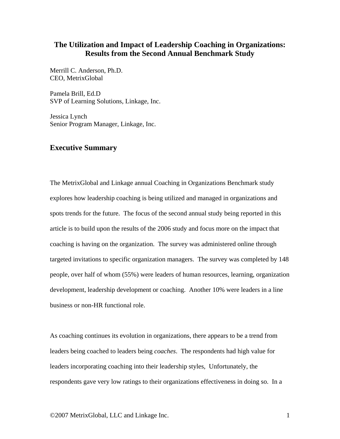## **The Utilization and Impact of Leadership Coaching in Organizations: Results from the Second Annual Benchmark Study**

Merrill C. Anderson, Ph.D. CEO, MetrixGlobal

Pamela Brill, Ed.D SVP of Learning Solutions, Linkage, Inc.

Jessica Lynch Senior Program Manager, Linkage, Inc.

### **Executive Summary**

The MetrixGlobal and Linkage annual Coaching in Organizations Benchmark study explores how leadership coaching is being utilized and managed in organizations and spots trends for the future. The focus of the second annual study being reported in this article is to build upon the results of the 2006 study and focus more on the impact that coaching is having on the organization. The survey was administered online through targeted invitations to specific organization managers. The survey was completed by 148 people, over half of whom (55%) were leaders of human resources, learning, organization development, leadership development or coaching. Another 10% were leaders in a line business or non-HR functional role.

As coaching continues its evolution in organizations, there appears to be a trend from leaders being coached to leaders being *coaches*. The respondents had high value for leaders incorporating coaching into their leadership styles, Unfortunately, the respondents gave very low ratings to their organizations effectiveness in doing so. In a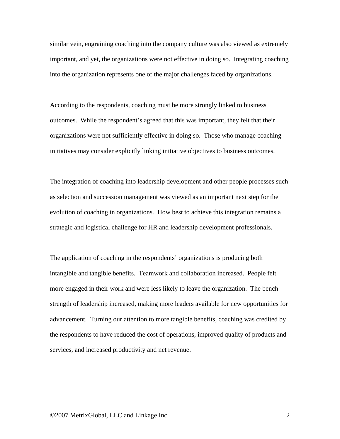similar vein, engraining coaching into the company culture was also viewed as extremely important, and yet, the organizations were not effective in doing so. Integrating coaching into the organization represents one of the major challenges faced by organizations.

According to the respondents, coaching must be more strongly linked to business outcomes. While the respondent's agreed that this was important, they felt that their organizations were not sufficiently effective in doing so. Those who manage coaching initiatives may consider explicitly linking initiative objectives to business outcomes.

The integration of coaching into leadership development and other people processes such as selection and succession management was viewed as an important next step for the evolution of coaching in organizations. How best to achieve this integration remains a strategic and logistical challenge for HR and leadership development professionals.

The application of coaching in the respondents' organizations is producing both intangible and tangible benefits. Teamwork and collaboration increased. People felt more engaged in their work and were less likely to leave the organization. The bench strength of leadership increased, making more leaders available for new opportunities for advancement. Turning our attention to more tangible benefits, coaching was credited by the respondents to have reduced the cost of operations, improved quality of products and services, and increased productivity and net revenue.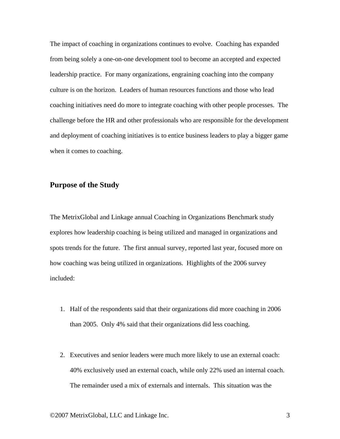The impact of coaching in organizations continues to evolve. Coaching has expanded from being solely a one-on-one development tool to become an accepted and expected leadership practice. For many organizations, engraining coaching into the company culture is on the horizon. Leaders of human resources functions and those who lead coaching initiatives need do more to integrate coaching with other people processes. The challenge before the HR and other professionals who are responsible for the development and deployment of coaching initiatives is to entice business leaders to play a bigger game when it comes to coaching.

## **Purpose of the Study**

The MetrixGlobal and Linkage annual Coaching in Organizations Benchmark study explores how leadership coaching is being utilized and managed in organizations and spots trends for the future. The first annual survey, reported last year, focused more on how coaching was being utilized in organizations. Highlights of the 2006 survey included:

- 1. Half of the respondents said that their organizations did more coaching in 2006 than 2005. Only 4% said that their organizations did less coaching.
- 2. Executives and senior leaders were much more likely to use an external coach: 40% exclusively used an external coach, while only 22% used an internal coach. The remainder used a mix of externals and internals. This situation was the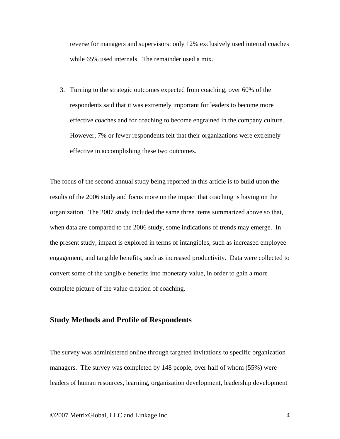reverse for managers and supervisors: only 12% exclusively used internal coaches while 65% used internals. The remainder used a mix.

3. Turning to the strategic outcomes expected from coaching, over 60% of the respondents said that it was extremely important for leaders to become more effective coaches and for coaching to become engrained in the company culture. However, 7% or fewer respondents felt that their organizations were extremely effective in accomplishing these two outcomes.

The focus of the second annual study being reported in this article is to build upon the results of the 2006 study and focus more on the impact that coaching is having on the organization. The 2007 study included the same three items summarized above so that, when data are compared to the 2006 study, some indications of trends may emerge. In the present study, impact is explored in terms of intangibles, such as increased employee engagement, and tangible benefits, such as increased productivity. Data were collected to convert some of the tangible benefits into monetary value, in order to gain a more complete picture of the value creation of coaching.

## **Study Methods and Profile of Respondents**

The survey was administered online through targeted invitations to specific organization managers. The survey was completed by 148 people, over half of whom (55%) were leaders of human resources, learning, organization development, leadership development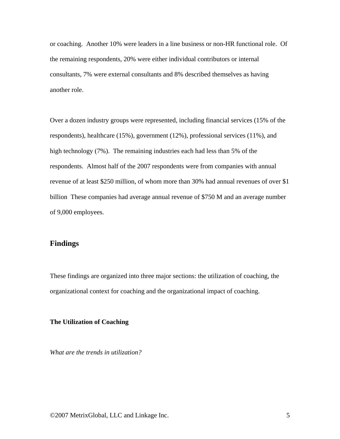or coaching. Another 10% were leaders in a line business or non-HR functional role. Of the remaining respondents, 20% were either individual contributors or internal consultants, 7% were external consultants and 8% described themselves as having another role.

Over a dozen industry groups were represented, including financial services (15% of the respondents), healthcare (15%), government (12%), professional services (11%), and high technology (7%). The remaining industries each had less than 5% of the respondents. Almost half of the 2007 respondents were from companies with annual revenue of at least \$250 million, of whom more than 30% had annual revenues of over \$1 billion These companies had average annual revenue of \$750 M and an average number of 9,000 employees.

### **Findings**

These findings are organized into three major sections: the utilization of coaching, the organizational context for coaching and the organizational impact of coaching.

### **The Utilization of Coaching**

*What are the trends in utilization?*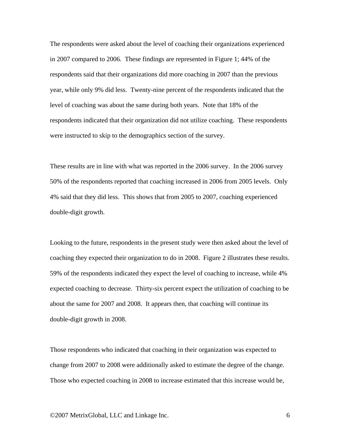The respondents were asked about the level of coaching their organizations experienced in 2007 compared to 2006. These findings are represented in Figure 1; 44% of the respondents said that their organizations did more coaching in 2007 than the previous year, while only 9% did less. Twenty-nine percent of the respondents indicated that the level of coaching was about the same during both years. Note that 18% of the respondents indicated that their organization did not utilize coaching. These respondents were instructed to skip to the demographics section of the survey.

These results are in line with what was reported in the 2006 survey. In the 2006 survey 50% of the respondents reported that coaching increased in 2006 from 2005 levels. Only 4% said that they did less. This shows that from 2005 to 2007, coaching experienced double-digit growth.

Looking to the future, respondents in the present study were then asked about the level of coaching they expected their organization to do in 2008. Figure 2 illustrates these results. 59% of the respondents indicated they expect the level of coaching to increase, while 4% expected coaching to decrease. Thirty-six percent expect the utilization of coaching to be about the same for 2007 and 2008. It appears then, that coaching will continue its double-digit growth in 2008.

Those respondents who indicated that coaching in their organization was expected to change from 2007 to 2008 were additionally asked to estimate the degree of the change. Those who expected coaching in 2008 to increase estimated that this increase would be,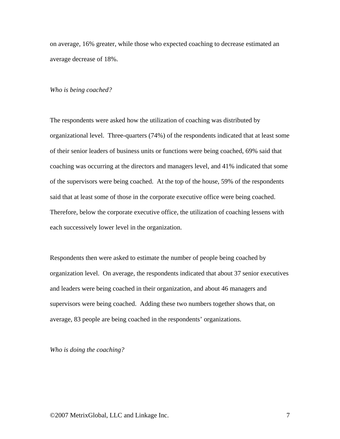on average, 16% greater, while those who expected coaching to decrease estimated an average decrease of 18%.

#### *Who is being coached?*

The respondents were asked how the utilization of coaching was distributed by organizational level. Three-quarters (74%) of the respondents indicated that at least some of their senior leaders of business units or functions were being coached, 69% said that coaching was occurring at the directors and managers level, and 41% indicated that some of the supervisors were being coached. At the top of the house, 59% of the respondents said that at least some of those in the corporate executive office were being coached. Therefore, below the corporate executive office, the utilization of coaching lessens with each successively lower level in the organization.

Respondents then were asked to estimate the number of people being coached by organization level. On average, the respondents indicated that about 37 senior executives and leaders were being coached in their organization, and about 46 managers and supervisors were being coached. Adding these two numbers together shows that, on average, 83 people are being coached in the respondents' organizations.

*Who is doing the coaching?*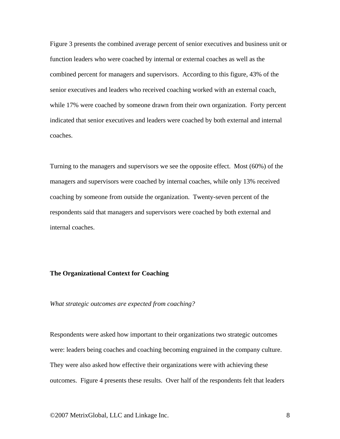Figure 3 presents the combined average percent of senior executives and business unit or function leaders who were coached by internal or external coaches as well as the combined percent for managers and supervisors. According to this figure, 43% of the senior executives and leaders who received coaching worked with an external coach, while 17% were coached by someone drawn from their own organization. Forty percent indicated that senior executives and leaders were coached by both external and internal coaches.

Turning to the managers and supervisors we see the opposite effect. Most (60%) of the managers and supervisors were coached by internal coaches, while only 13% received coaching by someone from outside the organization. Twenty-seven percent of the respondents said that managers and supervisors were coached by both external and internal coaches.

#### **The Organizational Context for Coaching**

*What strategic outcomes are expected from coaching?* 

Respondents were asked how important to their organizations two strategic outcomes were: leaders being coaches and coaching becoming engrained in the company culture. They were also asked how effective their organizations were with achieving these outcomes. Figure 4 presents these results. Over half of the respondents felt that leaders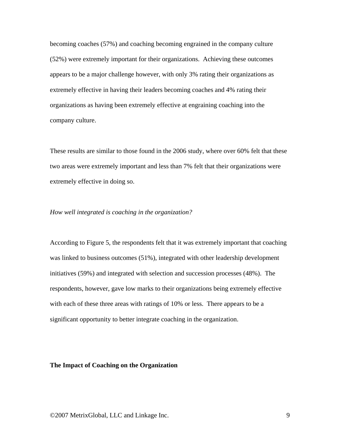becoming coaches (57%) and coaching becoming engrained in the company culture (52%) were extremely important for their organizations. Achieving these outcomes appears to be a major challenge however, with only 3% rating their organizations as extremely effective in having their leaders becoming coaches and 4% rating their organizations as having been extremely effective at engraining coaching into the company culture.

These results are similar to those found in the 2006 study, where over 60% felt that these two areas were extremely important and less than 7% felt that their organizations were extremely effective in doing so.

### *How well integrated is coaching in the organization?*

According to Figure 5, the respondents felt that it was extremely important that coaching was linked to business outcomes (51%), integrated with other leadership development initiatives (59%) and integrated with selection and succession processes (48%). The respondents, however, gave low marks to their organizations being extremely effective with each of these three areas with ratings of 10% or less. There appears to be a significant opportunity to better integrate coaching in the organization.

### **The Impact of Coaching on the Organization**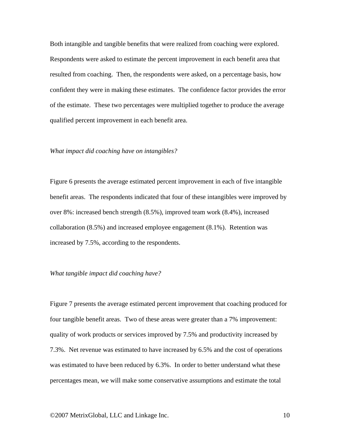Both intangible and tangible benefits that were realized from coaching were explored. Respondents were asked to estimate the percent improvement in each benefit area that resulted from coaching. Then, the respondents were asked, on a percentage basis, how confident they were in making these estimates. The confidence factor provides the error of the estimate. These two percentages were multiplied together to produce the average qualified percent improvement in each benefit area.

#### *What impact did coaching have on intangibles?*

Figure 6 presents the average estimated percent improvement in each of five intangible benefit areas. The respondents indicated that four of these intangibles were improved by over 8%: increased bench strength (8.5%), improved team work (8.4%), increased collaboration (8.5%) and increased employee engagement (8.1%). Retention was increased by 7.5%, according to the respondents.

#### *What tangible impact did coaching have?*

Figure 7 presents the average estimated percent improvement that coaching produced for four tangible benefit areas. Two of these areas were greater than a 7% improvement: quality of work products or services improved by 7.5% and productivity increased by 7.3%. Net revenue was estimated to have increased by 6.5% and the cost of operations was estimated to have been reduced by 6.3%. In order to better understand what these percentages mean, we will make some conservative assumptions and estimate the total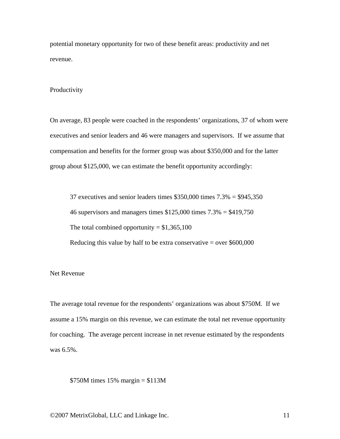potential monetary opportunity for two of these benefit areas: productivity and net revenue.

#### Productivity

On average, 83 people were coached in the respondents' organizations, 37 of whom were executives and senior leaders and 46 were managers and supervisors. If we assume that compensation and benefits for the former group was about \$350,000 and for the latter group about \$125,000, we can estimate the benefit opportunity accordingly:

37 executives and senior leaders times  $$350,000$  times  $7.3\% = $945,350$ 46 supervisors and managers times  $$125,000$  times  $7.3\% = $419,750$ The total combined opportunity  $= $1,365,100$ Reducing this value by half to be extra conservative  $=$  over \$600,000

#### Net Revenue

The average total revenue for the respondents' organizations was about \$750M. If we assume a 15% margin on this revenue, we can estimate the total net revenue opportunity for coaching. The average percent increase in net revenue estimated by the respondents was 6.5%.

\$750M times 15% margin = \$113M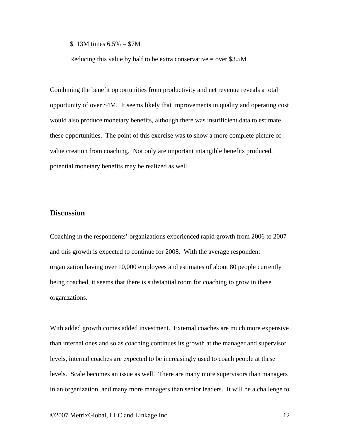\$113M times  $6.5\% = $7M$ 

Reducing this value by half to be extra conservative  $=$  over \$3.5M

Combining the benefit opportunities from productivity and net revenue reveals a total opportunity of over \$4M. It seems likely that improvements in quality and operating cost would also produce monetary benefits, although there was insufficient data to estimate these opportunities. The point of this exercise was to show a more complete picture of value creation from coaching. Not only are important intangible benefits produced, potential monetary benefits may be realized as well.

## **Discussion**

Coaching in the respondents' organizations experienced rapid growth from 2006 to 2007 and this growth is expected to continue for 2008. With the average respondent organization having over 10,000 employees and estimates of about 80 people currently being coached, it seems that there is substantial room for coaching to grow in these organizations.

With added growth comes added investment. External coaches are much more expensive than internal ones and so as coaching continues its growth at the manager and supervisor levels, internal coaches are expected to be increasingly used to coach people at these levels. Scale becomes an issue as well. There are many more supervisors than managers in an organization, and many more managers than senior leaders. It will be a challenge to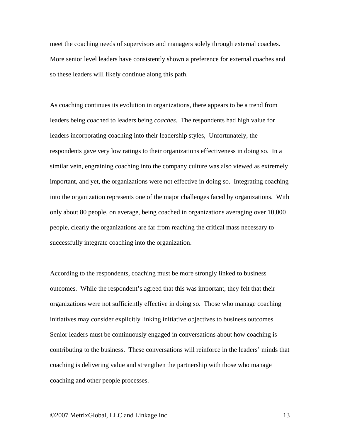meet the coaching needs of supervisors and managers solely through external coaches. More senior level leaders have consistently shown a preference for external coaches and so these leaders will likely continue along this path.

As coaching continues its evolution in organizations, there appears to be a trend from leaders being coached to leaders being *coaches*. The respondents had high value for leaders incorporating coaching into their leadership styles, Unfortunately, the respondents gave very low ratings to their organizations effectiveness in doing so. In a similar vein, engraining coaching into the company culture was also viewed as extremely important, and yet, the organizations were not effective in doing so. Integrating coaching into the organization represents one of the major challenges faced by organizations. With only about 80 people, on average, being coached in organizations averaging over 10,000 people, clearly the organizations are far from reaching the critical mass necessary to successfully integrate coaching into the organization.

According to the respondents, coaching must be more strongly linked to business outcomes. While the respondent's agreed that this was important, they felt that their organizations were not sufficiently effective in doing so. Those who manage coaching initiatives may consider explicitly linking initiative objectives to business outcomes. Senior leaders must be continuously engaged in conversations about how coaching is contributing to the business. These conversations will reinforce in the leaders' minds that coaching is delivering value and strengthen the partnership with those who manage coaching and other people processes.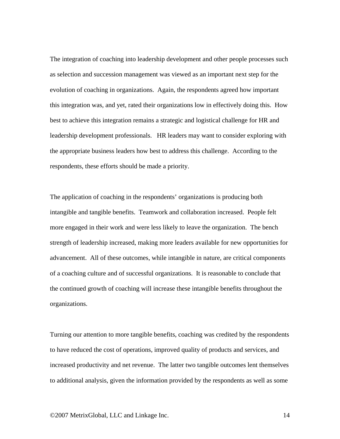The integration of coaching into leadership development and other people processes such as selection and succession management was viewed as an important next step for the evolution of coaching in organizations. Again, the respondents agreed how important this integration was, and yet, rated their organizations low in effectively doing this. How best to achieve this integration remains a strategic and logistical challenge for HR and leadership development professionals. HR leaders may want to consider exploring with the appropriate business leaders how best to address this challenge. According to the respondents, these efforts should be made a priority.

The application of coaching in the respondents' organizations is producing both intangible and tangible benefits. Teamwork and collaboration increased. People felt more engaged in their work and were less likely to leave the organization. The bench strength of leadership increased, making more leaders available for new opportunities for advancement. All of these outcomes, while intangible in nature, are critical components of a coaching culture and of successful organizations. It is reasonable to conclude that the continued growth of coaching will increase these intangible benefits throughout the organizations.

Turning our attention to more tangible benefits, coaching was credited by the respondents to have reduced the cost of operations, improved quality of products and services, and increased productivity and net revenue. The latter two tangible outcomes lent themselves to additional analysis, given the information provided by the respondents as well as some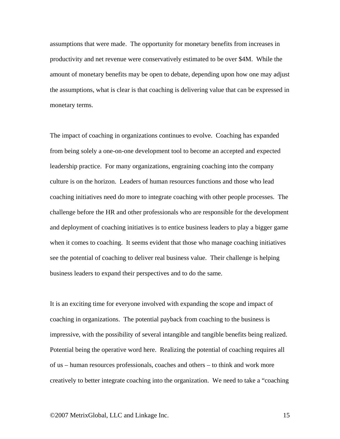assumptions that were made. The opportunity for monetary benefits from increases in productivity and net revenue were conservatively estimated to be over \$4M. While the amount of monetary benefits may be open to debate, depending upon how one may adjust the assumptions, what is clear is that coaching is delivering value that can be expressed in monetary terms.

The impact of coaching in organizations continues to evolve. Coaching has expanded from being solely a one-on-one development tool to become an accepted and expected leadership practice. For many organizations, engraining coaching into the company culture is on the horizon. Leaders of human resources functions and those who lead coaching initiatives need do more to integrate coaching with other people processes. The challenge before the HR and other professionals who are responsible for the development and deployment of coaching initiatives is to entice business leaders to play a bigger game when it comes to coaching. It seems evident that those who manage coaching initiatives see the potential of coaching to deliver real business value. Their challenge is helping business leaders to expand their perspectives and to do the same.

It is an exciting time for everyone involved with expanding the scope and impact of coaching in organizations. The potential payback from coaching to the business is impressive, with the possibility of several intangible and tangible benefits being realized. Potential being the operative word here. Realizing the potential of coaching requires all of us – human resources professionals, coaches and others – to think and work more creatively to better integrate coaching into the organization. We need to take a "coaching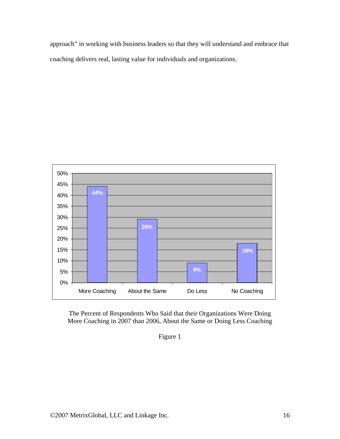approach" in working with business leaders so that they will understand and embrace that coaching delivers real, lasting value for individuals and organizations.



The Percent of Respondents Who Said that their Organizations Were Doing More Coaching in 2007 than 2006, About the Same or Doing Less Coaching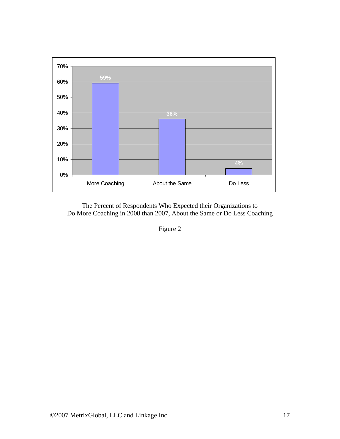

The Percent of Respondents Who Expected their Organizations to Do More Coaching in 2008 than 2007, About the Same or Do Less Coaching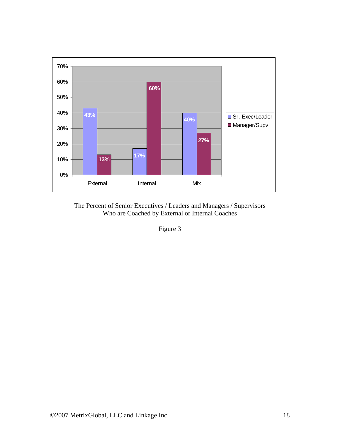

The Percent of Senior Executives / Leaders and Managers / Supervisors Who are Coached by External or Internal Coaches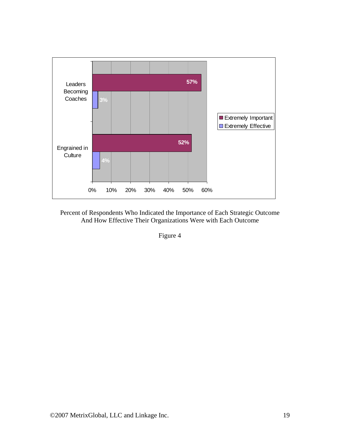

Percent of Respondents Who Indicated the Importance of Each Strategic Outcome And How Effective Their Organizations Were with Each Outcome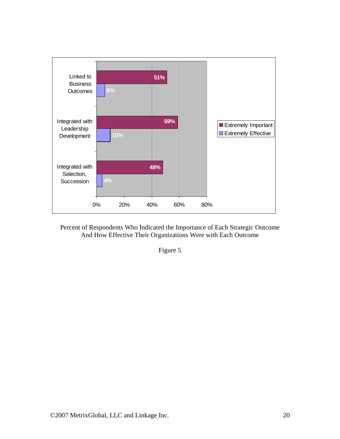

Percent of Respondents Who Indicated the Importance of Each Strategic Outcome And How Effective Their Organizations Were with Each Outcome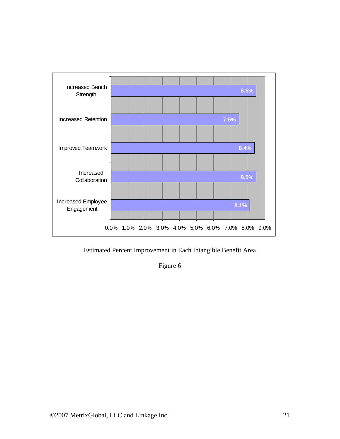

Estimated Percent Improvement in Each Intangible Benefit Area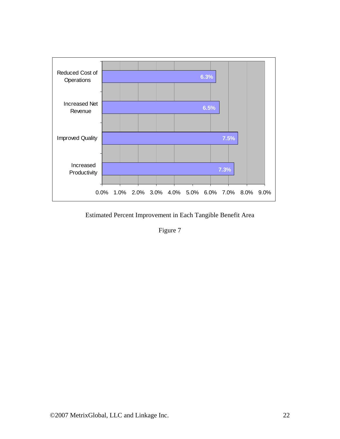

Estimated Percent Improvement in Each Tangible Benefit Area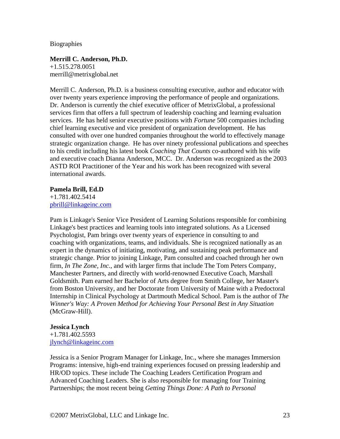Biographies

# **Merrill C. Anderson, Ph.D.**

+1.515.278.0051 merrill@metrixglobal.net

Merrill C. Anderson, Ph.D. is a business consulting executive, author and educator with over twenty years experience improving the performance of people and organizations. Dr. Anderson is currently the chief executive officer of MetrixGlobal, a professional services firm that offers a full spectrum of leadership coaching and learning evaluation services. He has held senior executive positions with *Fortune* 500 companies including chief learning executive and vice president of organization development. He has consulted with over one hundred companies throughout the world to effectively manage strategic organization change. He has over ninety professional publications and speeches to his credit including his latest book *Coaching That Counts* co-authored with his wife and executive coach Dianna Anderson, MCC. Dr. Anderson was recognized as the 2003 ASTD ROI Practitioner of the Year and his work has been recognized with several international awards.

### **Pamela Brill, Ed.D**

+1.781.402.5414 [pbrill@linkageinc.com](mailto:pbrill@linkageinc.com)

Pam is Linkage's Senior Vice President of Learning Solutions responsible for combining Linkage's best practices and learning tools into integrated solutions. As a Licensed Psychologist, Pam brings over twenty years of experience in consulting to and coaching with organizations, teams, and individuals. She is recognized nationally as an expert in the dynamics of initiating, motivating, and sustaining peak performance and strategic change. Prior to joining Linkage, Pam consulted and coached through her own firm, *In The Zone, Inc.,* and with larger firms that include The Tom Peters Company, Manchester Partners, and directly with world-renowned Executive Coach, Marshall Goldsmith. Pam earned her Bachelor of Arts degree from Smith College, her Master's from Boston University, and her Doctorate from University of Maine with a Predoctoral Internship in Clinical Psychology at Dartmouth Medical School. Pam is the author of *The Winner's Way: A Proven Method for Achieving Your Personal Best in Any Situation* (McGraw-Hill).

## **Jessica Lynch**

+1.781.402.5593 [jlynch@linkageinc.com](mailto:jlynch@linkageinc.com)

Jessica is a Senior Program Manager for Linkage, Inc., where she manages Immersion Programs: intensive, high-end training experiences focused on pressing leadership and HR/OD topics. These include The Coaching Leaders Certification Program and Advanced Coaching Leaders. She is also responsible for managing four Training Partnerships; the most recent being *Getting Things Done: A Path to Personal*